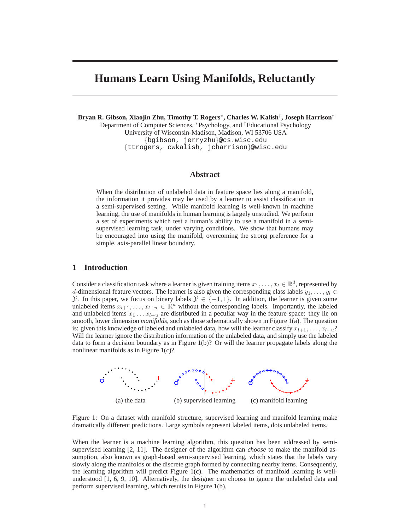# **Humans Learn Using Manifolds, Reluctantly**

**Bryan R. Gibson, Xiaojin Zhu, Timothy T. Rogers**<sup>∗</sup> **, Charles W. Kalish**† **, Joseph Harrison**<sup>∗</sup>

Department of Computer Sciences, <sup>∗</sup>Psychology, and †Educational Psychology University of Wisconsin-Madison, Madison, WI 53706 USA {bgibson, jerryzhu}@cs.wisc.edu {ttrogers, cwkalish, jcharrison}@wisc.edu

## **Abstract**

When the distribution of unlabeled data in feature space lies along a manifold, the information it provides may be used by a learner to assist classification in a semi-supervised setting. While manifold learning is well-known in machine learning, the use of manifolds in human learning is largely unstudied. We perform a set of experiments which test a human's ability to use a manifold in a semisupervised learning task, under varying conditions. We show that humans may be encouraged into using the manifold, overcoming the strong preference for a simple, axis-parallel linear boundary.

### **1 Introduction**

Consider a classification task where a learner is given training items  $x_1, \ldots, x_l \in \mathbb{R}^d$ , represented by d-dimensional feature vectors. The learner is also given the corresponding class labels  $y_1, \ldots, y_l \in$ y. In this paper, we focus on binary labels  $\mathcal{Y} \in \{-1, 1\}$ . In addition, the learner is given some unlabeled items  $x_{l+1}, \ldots, x_{l+u} \in \mathbb{R}^d$  without the corresponding labels. Importantly, the labeled and unlabeled items  $x_1 \ldots x_{l+u}$  are distributed in a peculiar way in the feature space: they lie on smooth, lower dimension *manifolds*, such as those schematically shown in Figure 1(a). The question is: given this knowledge of labeled and unlabeled data, how will the learner classify  $x_{l+1}, \ldots, x_{l+u}$ ? Will the learner ignore the distribution information of the unlabeled data, and simply use the labeled data to form a decision boundary as in Figure 1(b)? Or will the learner propagate labels along the nonlinear manifolds as in Figure 1(c)?



Figure 1: On a dataset with manifold structure, supervised learning and manifold learning make dramatically different predictions. Large symbols represent labeled items, dots unlabeled items.

When the learner is a machine learning algorithm, this question has been addressed by semisupervised learning [2, 11]. The designer of the algorithm can *choose* to make the manifold assumption, also known as graph-based semi-supervised learning, which states that the labels vary slowly along the manifolds or the discrete graph formed by connecting nearby items. Consequently, the learning algorithm will predict Figure  $1(c)$ . The mathematics of manifold learning is wellunderstood [1, 6, 9, 10]. Alternatively, the designer can choose to ignore the unlabeled data and perform supervised learning, which results in Figure 1(b).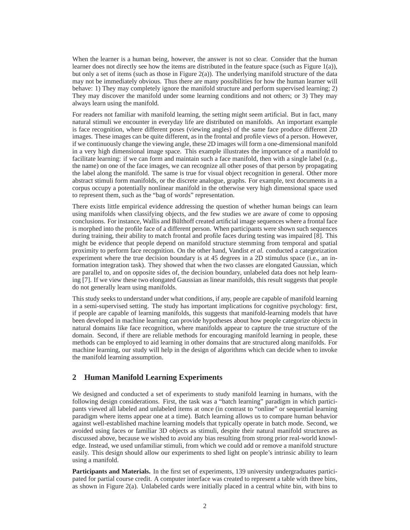When the learner is a human being, however, the answer is not so clear. Consider that the human learner does not directly see how the items are distributed in the feature space (such as Figure 1(a)), but only a set of items (such as those in Figure  $2(a)$ ). The underlying manifold structure of the data may not be immediately obvious. Thus there are many possibilities for how the human learner will behave: 1) They may completely ignore the manifold structure and perform supervised learning; 2) They may discover the manifold under some learning conditions and not others; or 3) They may always learn using the manifold.

For readers not familiar with manifold learning, the setting might seem artificial. But in fact, many natural stimuli we encounter in everyday life are distributed on manifolds. An important example is face recognition, where different poses (viewing angles) of the same face produce different 2D images. These images can be quite different, as in the frontal and profile views of a person. However, if we continuously change the viewing angle, these 2D images will form a one-dimensional manifold in a very high dimensional image space. This example illustrates the importance of a manifold to facilitate learning: if we can form and maintain such a face manifold, then with a single label (e.g., the name) on one of the face images, we can recognize all other poses of that person by propagating the label along the manifold. The same is true for visual object recognition in general. Other more abstract stimuli form manifolds, or the discrete analogue, graphs. For example, text documents in a corpus occupy a potentially nonlinear manifold in the otherwise very high dimensional space used to represent them, such as the "bag of words" representation.

There exists little empirical evidence addressing the question of whether human beings can learn using manifolds when classifying objects, and the few studies we are aware of come to opposing conclusions. For instance, Wallis and Bulthoff created artificial image sequences where a frontal face is morphed into the profile face of a different person. When participants were shown such sequences during training, their ability to match frontal and profile faces during testing was impaired [8]. This might be evidence that people depend on manifold structure stemming from temporal and spatial proximity to perform face recognition. On the other hand, Vandist *et al.* conducted a categorization experiment where the true decision boundary is at 45 degrees in a 2D stimulus space (i.e., an information integration task). They showed that when the two classes are elongated Gaussian, which are parallel to, and on opposite sides of, the decision boundary, unlabeled data does not help learning [7]. If we view these two elongated Gaussian as linear manifolds, this result suggests that people do not generally learn using manifolds.

This study seeks to understand under what conditions, if any, people are capable of manifold learning in a semi-supervised setting. The study has important implications for cognitive psychology: first, if people are capable of learning manifolds, this suggests that manifold-learning models that have been developed in machine learning can provide hypotheses about how people categorize objects in natural domains like face recognition, where manifolds appear to capture the true structure of the domain. Second, if there are reliable methods for encouraging manifold learning in people, these methods can be employed to aid learning in other domains that are structured along manifolds. For machine learning, our study will help in the design of algorithms which can decide when to invoke the manifold learning assumption.

# **2 Human Manifold Learning Experiments**

We designed and conducted a set of experiments to study manifold learning in humans, with the following design considerations. First, the task was a "batch learning" paradigm in which participants viewed all labeled and unlabeled items at once (in contrast to "online" or sequential learning paradigm where items appear one at a time). Batch learning allows us to compare human behavior against well-established machine learning models that typically operate in batch mode. Second, we avoided using faces or familiar 3D objects as stimuli, despite their natural manifold structures as discussed above, because we wished to avoid any bias resulting from strong prior real-world knowledge. Instead, we used unfamiliar stimuli, from which we could add or remove a manifold structure easily. This design should allow our experiments to shed light on people's intrinsic ability to learn using a manifold.

**Participants and Materials.** In the first set of experiments, 139 university undergraduates participated for partial course credit. A computer interface was created to represent a table with three bins, as shown in Figure 2(a). Unlabeled cards were initially placed in a central white bin, with bins to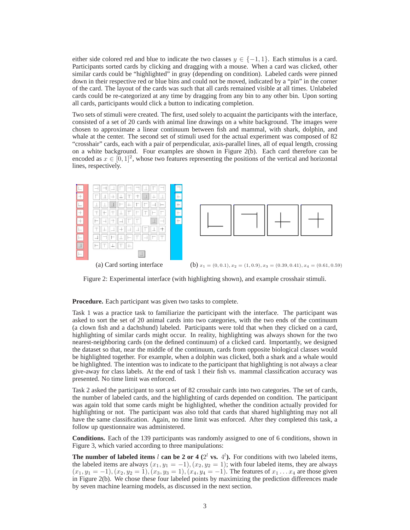either side colored red and blue to indicate the two classes  $y \in \{-1, 1\}$ . Each stimulus is a card. Participants sorted cards by clicking and dragging with a mouse. When a card was clicked, other similar cards could be "highlighted" in gray (depending on condition). Labeled cards were pinned down in their respective red or blue bins and could not be moved, indicated by a "pin" in the corner of the card. The layout of the cards was such that all cards remained visible at all times. Unlabeled cards could be re-categorized at any time by dragging from any bin to any other bin. Upon sorting all cards, participants would click a button to indicating completion.

Two sets of stimuli were created. The first, used solely to acquaint the participants with the interface, consisted of a set of 20 cards with animal line drawings on a white background. The images were chosen to approximate a linear continuum between fish and mammal, with shark, dolphin, and whale at the center. The second set of stimuli used for the actual experiment was composed of 82 "crosshair" cards, each with a pair of perpendicular, axis-parallel lines, all of equal length, crossing on a white background. Four examples are shown in Figure 2(b). Each card therefore can be encoded as  $x \in [0,1]^2$ , whose two features representing the positions of the vertical and horizontal lines, respectively.



Figure 2: Experimental interface (with highlighting shown), and example crosshair stimuli.

**Procedure.** Each participant was given two tasks to complete.

Task 1 was a practice task to familiarize the participant with the interface. The participant was asked to sort the set of 20 animal cards into two categories, with the two ends of the continuum (a clown fish and a dachshund) labeled. Participants were told that when they clicked on a card, highlighting of similar cards might occur. In reality, highlighting was always shown for the two nearest-neighboring cards (on the defined continuum) of a clicked card. Importantly, we designed the dataset so that, near the middle of the continuum, cards from opposite biological classes would be highlighted together. For example, when a dolphin was clicked, both a shark and a whale would be highlighted. The intention was to indicate to the participant that highlighting is not always a clear give-away for class labels. At the end of task 1 their fish vs. mammal classification accuracy was presented. No time limit was enforced.

Task 2 asked the participant to sort a set of 82 crosshair cards into two categories. The set of cards, the number of labeled cards, and the highlighting of cards depended on condition. The participant was again told that some cards might be highlighted, whether the condition actually provided for highlighting or not. The participant was also told that cards that shared highlighting may not all have the same classification. Again, no time limit was enforced. After they completed this task, a follow up questionnaire was administered.

**Conditions.** Each of the 139 participants was randomly assigned to one of 6 conditions, shown in Figure 3, which varied according to three manipulations:

**The number of labeled items l can be 2 or 4**  $(2^l \text{ vs. } 4^l)$ **. For conditions with two labeled items,** the labeled items are always  $(x_1, y_1 = -1)$ ,  $(x_2, y_2 = 1)$ ; with four labeled items, they are always  $(x_1, y_1 = -1), (x_2, y_2 = 1), (x_3, y_3 = 1), (x_4, y_4 = -1).$  The features of  $x_1 \dots x_4$  are those given in Figure 2(b). We chose these four labeled points by maximizing the prediction differences made by seven machine learning models, as discussed in the next section.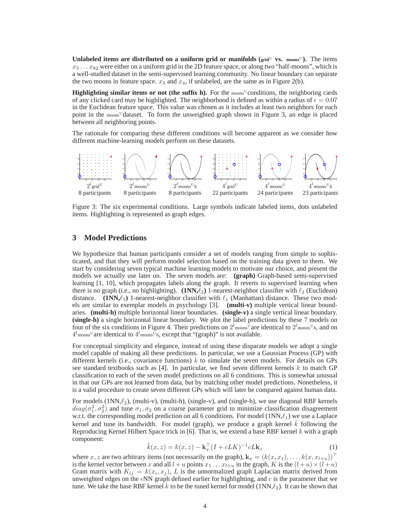**Unlabeled items are distributed on a uniform grid or manifolds (** $\text{grid } U$  **<b>vs.**  $\text{means}^U$ ). The items  $x_5 \ldots x_{82}$  were either on a uniform grid in the 2D feature space, or along two "half-moons", which is a well-studied dataset in the semi-supervised learning community. No linear boundary can separate the two moons in feature space.  $x_3$  and  $x_4$ , if unlabeled, are the same as in Figure 2(b).

**Highlighting similar items or not (the suffix h).** For the moons<sup>U</sup>conditions, the neighboring cards of any clicked card may be highlighted. The neighborhood is defined as within a radius of  $\epsilon = 0.07$ in the Euclidean feature space. This value was chosen as it includes at least two neighbors for each point in the moons<sup>U</sup> dataset. To form the unweighted graph shown in Figure 3, an edge is placed between all neighboring points.

The rationale for comparing these different conditions will become apparent as we consider how different machine-learning models perform on these datasets.



Figure 3: The six experimental conditions. Large symbols indicate labeled items, dots unlabeled items. Highlighting is represented as graph edges.

## **3 Model Predictions**

We hypothesize that human participants consider a set of models ranging from simple to sophisticated, and that they will perform model selection based on the training data given to them. We start by considering seven typical machine learning models to motivate our choice, and present the models we actually use later on. The seven models are: **(graph)** Graph-based semi-supervised learning [1, 10], which propagates labels along the graph. It reverts to supervised learning when there is no graph (i.e., no highlighting). **(1NN**, $\ell_2$ ) 1-nearest-neighbor classifier with  $\ell_2$  (Euclidean) distance. **(1NN,** $\ell_1$ ) 1-nearest-neighbor classifier with  $\ell_1$  (Manhattan) distance. These two models are similar to exemplar models in psychology [3]. **(multi-v)** multiple vertical linear boundaries. **(multi-h)** multiple horizontal linear boundaries. **(single-v)** a single vertical linear boundary. **(single-h)** a single horizontal linear boundary. We plot the label predictions by these 7 models on four of the six conditions in Figure 4. Their predictions on  $2^l$ <sub>moons</sub><sup>U</sup> are identical to  $2^l$ <sub>moons</sub><sup>U</sup><sub>h</sub>, and on  $4^{l}$  moons<sup>U</sup> are identical to  $4^{l}$  moons<sup>U</sup><sub>h</sub>, except that "(graph)" is not available.

For conceptual simplicity and elegance, instead of using these disparate models we adopt a single model capable of making all these predictions. In particular, we use a Gaussian Process (GP) with different kernels (i.e., covariance functions)  $k$  to simulate the seven models. For details on GPs see standard textbooks such as [4]. In particular, we find seven different kernels  $k$  to match GP classification to each of the seven model predictions on all 6 conditions. This is somewhat unusual in that our GPs are not learned from data, but by matching other model predictions. Nonetheless, it is a valid procedure to create seven different GPs which will later be compared against human data.

For models  $(1NN,\ell_2)$ , (multi-v), (multi-h), (single-v), and (single-h), we use diagonal RBF kernels  $diag(\sigma_1^2, \sigma_2^2)$  and tune  $\sigma_1, \sigma_2$  on a coarse parameter grid to minimize classification disagreement w.r.t. the corresponding model prediction on all 6 conditions. For model  $(1NN,\ell_1)$  we use a Laplace kernel and tune its bandwidth. For model (graph), we produce a graph kernel  $\tilde{k}$  following the Reproducing Kernel Hilbert Space trick in [6]. That is, we extend a base RBF kernel  $k$  with a graph component:

$$
\tilde{k}(x,z) = k(x,z) - \mathbf{k}_x^\top (I + cLK)^{-1} cL\mathbf{k}_z \tag{1}
$$

where x, z are two arbitrary items (not necessarily on the graph),  $\mathbf{k}_x = (k(x, x_1), \dots, k(x, x_{l+u}))^{\top}$ is the kernel vector between x and all  $l+u$  points  $x_1 \ldots x_{l+u}$  in the graph, K is the  $(l+u) \times (l+u)$ Gram matrix with  $K_{ij} = k(x_i, x_j)$ , L is the unnormalized graph Laplacian matrix derived from unweighted edges on the  $\epsilon NN$  graph defined earlier for highlighting, and c is the parameter that we tune. We take the base RBF kernel k to be the tuned kernel for model  $(1NN,\ell_2)$ . It can be shown that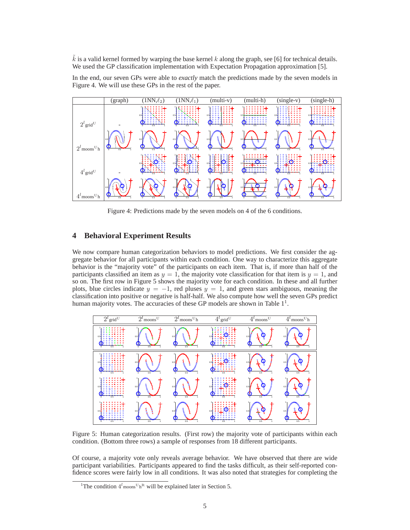$\vec{k}$  is a valid kernel formed by warping the base kernel k along the graph, see [6] for technical details. We used the GP classification implementation with Expectation Propagation approximation [5].

In the end, our seven GPs were able to *exactly* match the predictions made by the seven models in Figure 4. We will use these GPs in the rest of the paper.



Figure 4: Predictions made by the seven models on 4 of the 6 conditions.

# **4 Behavioral Experiment Results**

We now compare human categorization behaviors to model predictions. We first consider the aggregate behavior for all participants within each condition. One way to characterize this aggregate behavior is the "majority vote" of the participants on each item. That is, if more than half of the participants classified an item as  $y = 1$ , the majority vote classification for that item is  $y = 1$ , and so on. The first row in Figure 5 shows the majority vote for each condition. In these and all further plots, blue circles indicate  $y = -1$ , red pluses  $y = 1$ , and green stars ambiguous, meaning the classification into positive or negative is half-half. We also compute how well the seven GPs predict human majority votes. The accuracies of these GP models are shown in Table  $1<sup>1</sup>$ .



Figure 5: Human categorization results. (First row) the majority vote of participants within each condition. (Bottom three rows) a sample of responses from 18 different participants.

Of course, a majority vote only reveals average behavior. We have observed that there are wide participant variabilities. Participants appeared to find the tasks difficult, as their self-reported confidence scores were fairly low in all conditions. It was also noted that strategies for completing the

<sup>&</sup>lt;sup>1</sup>The condition  $4^{l}$ <sub>moons</sub><sup>U</sup><sub>h</sub><sup>R</sup> will be explained later in Section 5.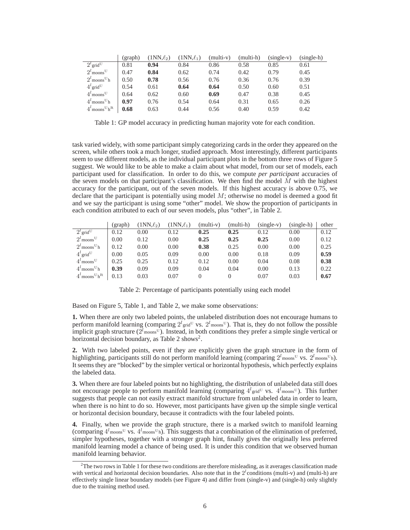|                                         | (graph) | $(1NN,\ell_2)$ | $(1NN,\ell_1)$ | $(multi-v)$ | (multi-h) | $(single-v)$ | $(single-h)$ |
|-----------------------------------------|---------|----------------|----------------|-------------|-----------|--------------|--------------|
| $2^{l}$ grid <sup>U</sup>               | 0.81    | 0.94           | 0.84           | 0.86        | 0.58      | 0.85         | 0.61         |
| $2^l$ moons <sup>U</sup>                | 0.47    | 0.84           | 0.62           | 0.74        | 0.42      | 0.79         | 0.45         |
| $2^l$ moons <sup>U</sup> h              | 0.50    | 0.78           | 0.56           | 0.76        | 0.36      | 0.76         | 0.39         |
| $4^{l}$ grid <sup>U</sup>               | 0.54    | 0.61           | 0.64           | 0.64        | 0.50      | 0.60         | 0.51         |
| $4^l$ moons <sup>U</sup>                | 0.64    | 0.62           | 0.60           | 0.69        | 0.47      | 0.38         | 0.45         |
| $4^l$ moons <sup>U</sup> h              | 0.97    | 0.76           | 0.54           | 0.64        | 0.31      | 0.65         | 0.26         |
| $4^l$ moons <sup>U</sup> h <sup>R</sup> | 0.68    | 0.63           | 0.44           | 0.56        | 0.40      | 0.59         | 0.42         |

Table 1: GP model accuracy in predicting human majority vote for each condition.

task varied widely, with some participant simply categorizing cards in the order they appeared on the screen, while others took a much longer, studied approach. Most interestingly, different participants seem to use different models, as the individual participant plots in the bottom three rows of Figure 5 suggest. We would like to be able to make a claim about what model, from our set of models, each participant used for classification. In order to do this, we compute *per participant* accuracies of the seven models on that participant's classification. We then find the model  $\overline{M}$  with the highest accuracy for the participant, out of the seven models. If this highest accuracy is above 0.75, we declare that the participant is potentially using model  $M$ ; otherwise no model is deemed a good fit and we say the participant is using some "other" model. We show the proportion of participants in each condition attributed to each of our seven models, plus "other", in Table 2.

|                                         | (graph) | $(1NN,\ell_2)$ | $(1NN,\ell_1)$ | $(multi-v)$ | (multi-h) | $(single-v)$ | (single-h) | other |
|-----------------------------------------|---------|----------------|----------------|-------------|-----------|--------------|------------|-------|
| $2^{l}$ grid <sup>U</sup>               | 0.12    | 0.00           | 0.12           | 0.25        | 0.25      | 0.12         | 0.00       | 0.12  |
| $2^l$ moons <sup>U</sup>                | 0.00    | 0.12           | 0.00           | 0.25        | 0.25      | 0.25         | 0.00       | 0.12  |
| $2^l$ moons <sup>U</sup> h              | 0.12    | 0.00           | 0.00           | 0.38        | 0.25      | 0.00         | 0.00       | 0.25  |
| $4^{l}$ grid <sup>U</sup>               | 0.00    | 0.05           | 0.09           | 0.00        | 0.00      | 0.18         | 0.09       | 0.59  |
| $4^l$ moons <sup>U</sup>                | 0.25    | 0.25           | 0.12           | 0.12        | 0.00      | 0.04         | 0.08       | 0.38  |
| $4^l$ moons <sup>U</sup> h              | 0.39    | 0.09           | 0.09           | 0.04        | 0.04      | 0.00         | 0.13       | 0.22  |
| $4^l$ moons <sup>U</sup> h <sup>R</sup> | 0.13    | 0.03           | 0.07           | $\theta$    | $\theta$  | 0.07         | 0.03       | 0.67  |

Table 2: Percentage of participants potentially using each model

Based on Figure 5, Table 1, and Table 2, we make some observations:

**1.** When there are only two labeled points, the unlabeled distribution does not encourage humans to perform manifold learning (comparing  $2^l$ <sub>grid</sub><sup>U</sup> vs.  $2^l$ <sub>moons</sub><sup>U</sup>). That is, they do not follow the possible implicit graph structure ( $2^{l}$ <sub>moons</sub><sup>U</sup>). Instead, in both conditions they prefer a simple single vertical or horizontal decision boundary, as Table 2 shows<sup>2</sup>.

**2.** With two labeled points, even if they are explicitly given the graph structure in the form of highlighting, participants still do not perform manifold learning (comparing  $2^{l}$ <sub>moons</sub><sup>U</sup> vs.  $2^{l}$ <sub>moons</sub><sup>U</sup>h). It seems they are "blocked" by the simpler vertical or horizontal hypothesis, which perfectly explains the labeled data.

**3.** When there are four labeled points but no highlighting, the distribution of unlabeled data still does not encourage people to perform manifold learning (comparing  $4^l$ <sub>grid</sub><sup>U</sup> vs.  $4^l$ <sub>moons</sub><sup>U</sup>). This further suggests that people can not easily extract manifold structure from unlabeled data in order to learn, when there is no hint to do so. However, most participants have given up the simple single vertical or horizontal decision boundary, because it contradicts with the four labeled points.

**4.** Finally, when we provide the graph structure, there is a marked switch to manifold learning (comparing  $4^{l}$  moons<sup>U</sup> vs.  $4^{l}$  moons<sup>U</sup>h). This suggests that a combination of the elimination of preferred, simpler hypotheses, together with a stronger graph hint, finally gives the originally less preferred manifold learning model a chance of being used. It is under this condition that we observed human manifold learning behavior.

 $2$ The two rows in Table 1 for these two conditions are therefore misleading, as it averages classification made with vertical and horizontal decision boundaries. Also note that in the  $2^l$  conditions (multi-v) and (multi-h) are effectively single linear boundary models (see Figure 4) and differ from (single-v) and (single-h) only slightly due to the training method used.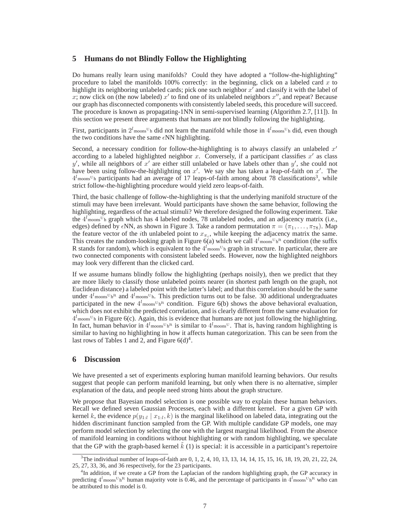# **5 Humans do not Blindly Follow the Highlighting**

Do humans really learn using manifolds? Could they have adopted a "follow-the-highlighting" procedure to label the manifolds 100% correctly: in the beginning, click on a labeled card  $x$  to highlight its neighboring unlabeled cards; pick one such neighbor  $x^r$  and classify it with the label of x; now click on (the now labeled)  $x'$  to find one of its unlabeled neighbors  $x''$ , and repeat? Because our graph has disconnected components with consistently labeled seeds, this procedure will succeed. The procedure is known as propagating-1NN in semi-supervised learning (Algorithm 2.7, [11]). In this section we present three arguments that humans are not blindly following the highlighting.

First, participants in  $2^l$ <sub>moons</sub><sup>U</sup>h did not learn the manifold while those in  $4^l$ <sub>moons</sub><sup>U</sup>h did, even though the two conditions have the same  $\epsilon NN$  highlighting.

Second, a necessary condition for follow-the-highlighting is to always classify an unlabeled  $x'$ according to a labeled highlighted neighbor x. Conversely, if a participant classifies  $x'$  as class y', while all neighbors of x' are either still unlabeled or have labels other than y', she could not have been using follow-the-highlighting on x'. We say she has taken a leap-of-faith on  $x'$ . The  $4^l$ <sub>moons</sub><sup>U</sup>h participants had an average of 17 leaps-of-faith among about 78 classifications<sup>3</sup>, while strict follow-the-highlighting procedure would yield zero leaps-of-faith.

Third, the basic challenge of follow-the-highlighting is that the underlying manifold structure of the stimuli may have been irrelevant. Would participants have shown the same behavior, following the highlighting, regardless of the actual stimuli? We therefore designed the following experiment. Take the  $4^{l}$ <sub>moons</sub><sup>U</sup><sub>h</sub> graph which has 4 labeled nodes, 78 unlabeled nodes, and an adjacency matrix (i.e., edges) defined by  $\epsilon NN$ , as shown in Figure 3. Take a random permutation  $\pi = (\pi_1, \ldots, \pi_{78})$ . Map the feature vector of the *i*th unlabeled point to  $x_{\pi_i}$ , while keeping the adjacency matrix the same. This creates the random-looking graph in Figure 6(a) which we call  $4^l$  moons<sup>UhR</sup> condition (the suffix R stands for random), which is equivalent to the  $4^l$ <sub>moons</sub><sup>U</sup><sub>h</sub> graph in structure. In particular, there are two connected components with consistent labeled seeds. However, now the highlighted neighbors may look very different than the clicked card.

If we assume humans blindly follow the highlighting (perhaps noisily), then we predict that they are more likely to classify those unlabeled points nearer (in shortest path length on the graph, not Euclidean distance) a labeled point with the latter's label; and that this correlation should be the same under  $4^{l}$ <sub>moons</sub> $v_{h}$ <sup>R</sup> and  $4^{l}$ <sub>moons</sub> $v_{h}$ . This prediction turns out to be false. 30 additional undergraduates participated in the new  $4^{l}$ <sub>moons</sub> $U_{h}$ <sup>R</sup> condition. Figure 6(b) shows the above behavioral evaluation, which does not exhibit the predicted correlation, and is clearly different from the same evaluation for  $4^l$ <sub>moons</sub><sup>U</sup>h in Figure 6(c). Again, this is evidence that humans are not just following the highlighting. In fact, human behavior in  $4^l$ <sub>moons</sub><sup>U</sup><sub>h</sub>R</sup> is similar to  $4^l$ <sub>moons</sub><sup>U</sup>. That is, having random highlighting is similar to having no highlighting in how it affects human categorization. This can be seen from the last rows of Tables 1 and 2, and Figure  $6(d)^4$ .

### **6 Discussion**

We have presented a set of experiments exploring human manifold learning behaviors. Our results suggest that people can perform manifold learning, but only when there is no alternative, simpler explanation of the data, and people need strong hints about the graph structure.

We propose that Bayesian model selection is one possible way to explain these human behaviors. Recall we defined seven Gaussian Processes, each with a different kernel. For a given GP with kernel k, the evidence  $p(y_{1:l} | x_{1:l}, k)$  is the marginal likelihood on labeled data, integrating out the hidden discriminant function sampled from the GP. With multiple candidate GP models, one may perform model selection by selecting the one with the largest marginal likelihood. From the absence of manifold learning in conditions without highlighting or with random highlighting, we speculate that the GP with the graph-based kernel  $k(1)$  is special: it is accessible in a participant's repertoire

<sup>&</sup>lt;sup>3</sup>The individual number of leaps-of-faith are 0, 1, 2, 4, 10, 13, 13, 14, 14, 15, 15, 16, 18, 19, 20, 21, 22, 24, 25, 27, 33, 36, and 36 respectively, for the 23 participants.

<sup>&</sup>lt;sup>4</sup>In addition, if we create a GP from the Laplacian of the random highlighting graph, the GP accuracy in predicting  $4^l$  moons<sup>U</sup>h<sup>R</sup> human majority vote is 0.46, and the percentage of participants in  $4^l$  moons<sup>U</sup>h<sup>R</sup> who can be attributed to this model is 0.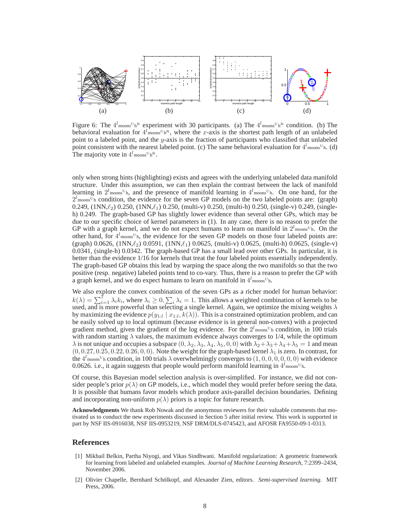

Figure 6: The  $4^l$ <sub>moons</sub> $\mathrm{U}_{h}$ <sup>R</sup> experiment with 30 participants. (a) The  $4^l$ <sub>moons</sub> $\mathrm{U}_{h}$ <sup>R</sup> condition. (b) The behavioral evaluation for  $4^l$ <sub>moons</sub> $v_h$ <sup>R</sup>, where the x-axis is the shortest path length of an unlabeled point to a labeled point, and the  $y$ -axis is the fraction of participants who classified that unlabeled point consistent with the nearest labeled point. (c) The same behavioral evaluation for  $4^l$  moons<sup>U</sup>h. (d) The majority vote in  $4^l$ <sub>moons</sub><sup>U</sup><sub>h</sub>R</sup>.

only when strong hints (highlighting) exists and agrees with the underlying unlabeled data manifold structure. Under this assumption, we can then explain the contrast between the lack of manifold learning in  $2^l$ <sub>moons</sub><sup>U</sup>h, and the presence of manifold learning in  $4^l$ <sub>moons</sub><sup>U</sup>h. On one hand, for the  $2^{l}$ <sub>moons</sub>U<sub>h</sub> condition, the evidence for the seven GP models on the two labeled points are: (graph) 0.249,  $(1NN,\ell_2)$  0.250,  $(1NN,\ell_1)$  0.250,  $(multi-v)$  0.250,  $(multi-h)$  0.250,  $(single-v)$  0.249,  $(single-v)$ h) 0.249. The graph-based GP has slightly lower evidence than several other GPs, which may be due to our specific choice of kernel parameters in (1). In any case, there is no reason to prefer the GP with a graph kernel, and we do not expect humans to learn on manifold in  $2^{l}$ <sub>moons</sub><sup>U</sup><sub>h</sub>. On the other hand, for  $4^l$ <sub>moons</sub><sup>U</sup><sub>h</sub>, the evidence for the seven GP models on those four labeled points are:  $(\text{graph})$  0.0626,  $(1NN,\ell_2)$  0.0591,  $(1NN,\ell_1)$  0.0625,  $(multi-v)$  0.0625,  $(multi-h)$  0.0625,  $(single-v)$ 0.0341, (single-h) 0.0342. The graph-based GP has a small lead over other GPs. In particular, it is better than the evidence 1/16 for kernels that treat the four labeled points essentially independently. The graph-based GP obtains this lead by warping the space along the two manifolds so that the two positive (resp. negative) labeled points tend to co-vary. Thus, there is a reason to prefer the GP with a graph kernel, and we do expect humans to learn on manifold in  $4^l$ <sub>moons</sub><sup>U</sup>h.

We also explore the convex combination of the seven GPs as a richer model for human behavior:  $k(\lambda) = \sum_{i=1}^{7} \lambda_i k_i$ , where  $\lambda_i \ge 0$ ,  $\sum_i \lambda_i = 1$ . This allows a weighted combination of kernels to be used, and is more powerful than selecting a single kernel. Again, we optimize the mixing weights  $\lambda$ by maximizing the evidence  $p(y_{1:l} | x_{1:l}, k(\lambda))$ . This is a constrained optimization problem, and can be easily solved up to local optimum (because evidence is in general non-convex) with a projected gradient method, given the gradient of the log evidence. For the  $2^{l}$ <sub>moons</sub><sup>U</sup><sub>h</sub> condition, in 100 trials with random starting  $\lambda$  values, the maximum evidence always converges to 1/4, while the optimum  $\lambda$  is not unique and occupies a subspace  $(0, \lambda_2, \lambda_3, \lambda_4, \lambda_5, 0, 0)$  with  $\lambda_2 + \lambda_3 + \lambda_4 + \lambda_5 = 1$  and mean  $(0, 0.27, 0.25, 0.22, 0.26, 0, 0)$ . Note the weight for the graph-based kernel  $\lambda_1$  is zero. In contrast, for the  $4^l$ <sub>moons</sub><sup>U</sup><sub>h</sub> condition, in 100 trials  $\lambda$  overwhelmingly converges to  $(1, 0, 0, 0, 0, 0, 0)$  with evidence 0.0626. i.e., it again suggests that people would perform manifold learning in  $4^l$ <sub>moons</sub><sup>U</sup>h.

Of course, this Bayesian model selection analysis is over-simplified. For instance, we did not consider people's prior  $p(\lambda)$  on GP models, i.e., which model they would prefer before seeing the data. It is possible that humans favor models which produce axis-parallel decision boundaries. Defining and incorporating non-uniform  $p(\lambda)$  priors is a topic for future research.

**Acknowledgments** We thank Rob Nowak and the anonymous reviewers for their valuable comments that motivated us to conduct the new experiments discussed in Section 5 after initial review. This work is supported in part by NSF IIS-0916038, NSF IIS-0953219, NSF DRM/DLS-0745423, and AFOSR FA9550-09-1-0313.

### **References**

- [1] Mikhail Belkin, Partha Niyogi, and Vikas Sindhwani. Manifold regularization: A geometric framework for learning from labeled and unlabeled examples. *Journal of Machine Learning Research*, 7:2399–2434, November 2006.
- [2] Olivier Chapelle, Bernhard Schölkopf, and Alexander Zien, editors. Semi-supervised learning. MIT Press, 2006.